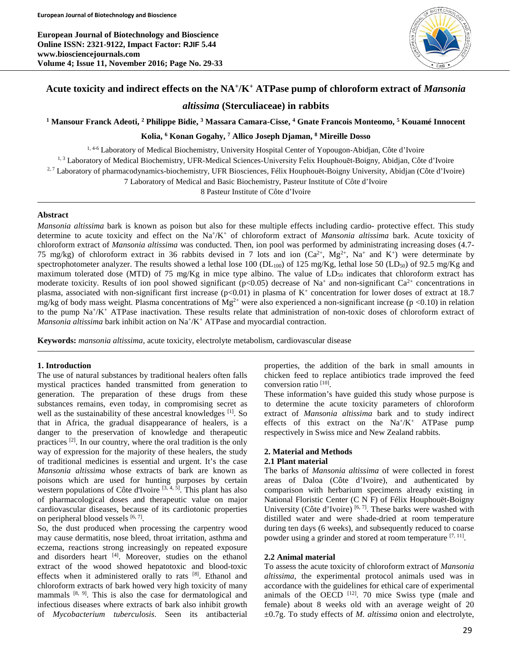**European Journal of Biotechnology and Bioscience Online ISSN: 2321-9122, Impact Factor: RJIF 5.44 www.biosciencejournals.com Volume 4; Issue 11, November 2016; Page No. 29-33**



# **Acute toxicity and indirect effects on the NA+/K+ ATPase pump of chloroform extract of** *Mansonia*

# *altissima* **(Sterculiaceae) in rabbits**

**<sup>1</sup> Mansour Franck Adeoti, 2 Philippe Bidie, 3 Massara Camara-Cisse, 4 Gnate Francois Monteomo, <sup>5</sup> Kouamé Innocent** 

# **Kolia, 6 Konan Gogahy, 7 Allico Joseph Djaman, 8 Mireille Dosso**

<sup>1, 4-6</sup> Laboratory of Medical Biochemistry, University Hospital Center of Yopougon-Abidjan, Côte d'Ivoire

1, 3 Laboratory of Medical Biochemistry, UFR-Medical Sciences-University Felix Houphouēt-Boigny, Abidjan, Côte d'Ivoire

<sup>2, 7</sup> Laboratory of pharmacodynamics-biochemistry, UFR Biosciences, Félix Houphouët-Boigny University, Abidjan (Côte d'Ivoire)

7 Laboratory of Medical and Basic Biochemistry, Pasteur Institute of Côte d'Ivoire

8 Pasteur Institute of Côte d'Ivoire

### **Abstract**

*Mansonia altissima* bark is known as poison but also for these multiple effects including cardio- protective effect. This study determine to acute toxicity and effect on the Na+/K+ of chloroform extract of *Mansonia altissima* bark. Acute toxicity of chloroform extract of *Mansonia altissima* was conducted. Then, ion pool was performed by administrating increasing doses (4.7- 75 mg/kg) of chloroform extract in 36 rabbits devised in 7 lots and ion  $(Ca^{2+}, Mg^{2+}, Na^{+}$  and  $K^{+})$  were determinate by spectrophotometer analyzer. The results showed a lethal lose  $100$  (DL<sub>100</sub>) of  $125$  mg/Kg, lethal lose 50 (LD<sub>50</sub>) of  $92.5$  mg/Kg and maximum tolerated dose (MTD) of 75 mg/Kg in mice type albino. The value of  $LD_{50}$  indicates that chloroform extract has moderate toxicity. Results of ion pool showed significant ( $p<0.05$ ) decrease of Na<sup>+</sup> and non-significant Ca<sup>2+</sup> concentrations in plasma, associated with non-significant first increase  $(p<0.01)$  in plasma of K<sup>+</sup> concentration for lower doses of extract at 18.7 mg/kg of body mass weight. Plasma concentrations of  $Mg^{2+}$  were also experienced a non-significant increase (p <0.10) in relation to the pump  $Na^+/K^+$  ATPase inactivation. These results relate that administration of non-toxic doses of chloroform extract of *Mansonia altissima* bark inhibit action on Na<sup>+</sup>/K<sup>+</sup> ATPase and myocardial contraction.

**Keywords:** *mansonia altissima,* acute toxicity, electrolyte metabolism, cardiovascular disease

### **1. Introduction**

The use of natural substances by traditional healers often falls mystical practices handed transmitted from generation to generation. The preparation of these drugs from these substances remains, even today, in compromising secret as well as the sustainability of these ancestral knowledges  $[1]$ . So that in Africa, the gradual disappearance of healers, is a danger to the preservation of knowledge and therapeutic practices  $[2]$ . In our country, where the oral tradition is the only way of expression for the majority of these healers, the study of traditional medicines is essential and urgent. It's the case *Mansonia altissima* whose extracts of bark are known as poisons which are used for hunting purposes by certain western populations of Côte d'Ivoire  $[3, 4, 5]$ . This plant has also of pharmacological doses and therapeutic value on major cardiovascular diseases, because of its cardiotonic properties on peripheral blood vessels  $[6, 7]$ .

So, the dust produced when processing the carpentry wood may cause dermatitis, nose bleed, throat irritation, asthma and eczema, reactions strong increasingly on repeated exposure and disorders heart [4]. Moreover, studies on the ethanol extract of the wood showed hepatotoxic and blood-toxic effects when it administered orally to rats [8]. Ethanol and chloroform extracts of bark howed very high toxicity of many mammals  $[8, 9]$ . This is also the case for dermatological and infectious diseases where extracts of bark also inhibit growth of *Mycobacterium tuberculosis*. Seen its antibacterial

properties, the addition of the bark in small amounts in chicken feed to replace antibiotics trade improved the feed conversion ratio [10].

These information's have guided this study whose purpose is to determine the acute toxicity parameters of chloroform extract of *Mansonia altissima* bark and to study indirect effects of this extract on the Na<sup>+</sup>/K<sup>+</sup> ATPase pump respectively in Swiss mice and New Zealand rabbits.

## **2. Material and Methods**

### **2.1 Plant material**

The barks of *Mansonia altissima* of were collected in forest areas of Daloa (Côte d'Ivoire), and authenticated by comparison with herbarium specimens already existing in National Floristic Center (C N F) of Félix Houphouët-Boigny University (Côte d'Ivoire)  $[6, 7]$ . These barks were washed with distilled water and were shade-dried at room temperature during ten days (6 weeks), and subsequently reduced to coarse powder using a grinder and stored at room temperature [7, 11].

### **2.2 Animal material**

To assess the acute toxicity of chloroform extract of *Mansonia altissima*, the experimental protocol animals used was in accordance with the guidelines for ethical care of experimental animals of the OECD  $[12]$ . 70 mice Swiss type (male and female) about 8 weeks old with an average weight of 20 ±0.7g. To study effects of *M. altissima* onion and electrolyte,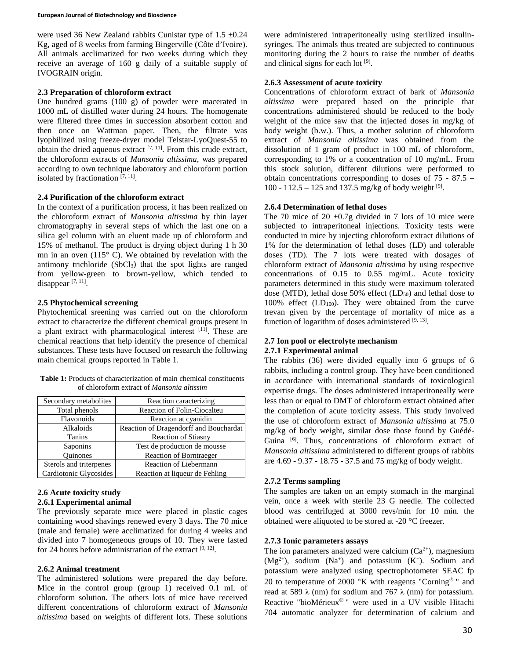were used 36 New Zealand rabbits Cunistar type of  $1.5 \pm 0.24$ Kg, aged of 8 weeks from farming Bingerville (Côte d'Ivoire). All animals acclimatized for two weeks during which they receive an average of 160 g daily of a suitable supply of IVOGRAIN origin.

#### **2.3 Preparation of chloroform extract**

One hundred grams (100 g) of powder were macerated in 1000 mL of distilled water during 24 hours. The homogenate were filtered three times in succession absorbent cotton and then once on Wattman paper. Then, the filtrate was lyophilized using freeze-dryer model Telstar-LyoQuest-55 to obtain the dried aqueous extract  $[7, 11]$ . From this crude extract, the chloroform extracts of *Mansonia altissima*, was prepared according to own technique laboratory and chloroform portion isolated by fractionation [7, 11].

### **2.4 Purification of the chloroform extract**

In the context of a purification process, it has been realized on the chloroform extract of *Mansonia altissima* by thin layer chromatography in several steps of which the last one on a silica gel column with an eluent made up of chloroform and 15% of methanol. The product is drying object during 1 h 30 mn in an oven  $(115^{\circ}$  C). We obtained by revelation with the antimony trichloride  $(SbCl<sub>3</sub>)$  that the spot lights are ranged from yellow-green to brown-yellow, which tended to disappear [7, 11].

#### **2.5 Phytochemical screening**

Phytochemical sreening was carried out on the chloroform extract to characterize the different chemical groups present in a plant extract with pharmacological interest  $[11]$ . These are chemical reactions that help identify the presence of chemical substances. These tests have focused on research the following main chemical groups reported in Table 1.

| <b>Table 1:</b> Products of characterization of main chemical constituents |
|----------------------------------------------------------------------------|
| of chloroform extract of <i>Mansonia altissim</i>                          |

| Secondary metabolites   | Reaction caracterizing                 |  |  |  |  |
|-------------------------|----------------------------------------|--|--|--|--|
| Total phenols           | Reaction of Folin-Ciocalteu            |  |  |  |  |
| Flavonoids              | Reaction at cyanidin                   |  |  |  |  |
| Alkaloids               | Reaction of Dragendorff and Bouchardat |  |  |  |  |
| Tanins                  | <b>Reaction of Stiasny</b>             |  |  |  |  |
| Saponins                | Test de production de mousse           |  |  |  |  |
| <b>Ouinones</b>         | <b>Reaction of Borntraeger</b>         |  |  |  |  |
| Sterols and triterpenes | Reaction of Liebermann                 |  |  |  |  |
| Cardiotonic Glycosides  | Reaction at liqueur de Fehling         |  |  |  |  |

# **2.6 Acute toxicity study**

# **2.6.1 Experimental animal**

The previously separate mice were placed in plastic cages containing wood shavings renewed every 3 days. The 70 mice (male and female) were acclimatized for during 4 weeks and divided into 7 homogeneous groups of 10. They were fasted for 24 hours before administration of the extract  $[9, 12]$ .

#### **2.6.2 Animal treatment**

The administered solutions were prepared the day before. Mice in the control group (group 1) received 0.1 mL of chloroform solution. The others lots of mice have received different concentrations of chloroform extract of *Mansonia altissima* based on weights of different lots. These solutions

were administered intraperitoneally using sterilized insulinsyringes. The animals thus treated are subjected to continuous monitoring during the 2 hours to raise the number of deaths and clinical signs for each lot [9].

### **2.6.3 Assessment of acute toxicity**

Concentrations of chloroform extract of bark of *Mansonia altissima* were prepared based on the principle that concentrations administered should be reduced to the body weight of the mice saw that the injected doses in mg/kg of body weight (b.w.). Thus, a mother solution of chloroform extract of *Mansonia altissima* was obtained from the dissolution of 1 gram of product in 100 mL of chloroform, corresponding to 1% or a concentration of 10 mg/mL. From this stock solution, different dilutions were performed to obtain concentrations corresponding to doses of 75 - 87.5 – 100 - 112.5 – 125 and 137.5 mg/kg of body weight  $[9]$ .

### **2.6.4 Determination of lethal doses**

The 70 mice of 20  $\pm$ 0.7g divided in 7 lots of 10 mice were subjected to intraperitoneal injections. Toxicity tests were conducted in mice by injecting chloroform extract dilutions of 1% for the determination of lethal doses (LD) and tolerable doses (TD). The 7 lots were treated with dosages of chloroform extract of *Mansonia altissima* by using respective concentrations of 0.15 to 0.55 mg/mL. Acute toxicity parameters determined in this study were maximum tolerated dose (MTD), lethal dose  $50\%$  effect (LD<sub>50</sub>) and lethal dose to 100% effect  $(LD_{100})$ . They were obtained from the curve trevan given by the percentage of mortality of mice as a function of logarithm of doses administered  $[9, 13]$ .

### **2.7 Ion pool or electrolyte mechanism 2.7.1 Experimental animal**

The rabbits (36) were divided equally into 6 groups of 6 rabbits, including a control group. They have been conditioned in accordance with international standards of toxicological expertise drugs. The doses administered intraperitoneally were less than or equal to DMT of chloroform extract obtained after the completion of acute toxicity assess. This study involved the use of chloroform extract of *Mansonia altissima* at 75.0 mg/kg of body weight, similar dose those found by Guédé-Guina <sup>[6]</sup>. Thus, concentrations of chloroform extract of *Mansonia altissima* administered to different groups of rabbits are 4.69 - 9.37 - 18.75 - 37.5 and 75 mg/kg of body weight.

## **2.7.2 Terms sampling**

The samples are taken on an empty stomach in the marginal vein, once a week with sterile 23 G needle. The collected blood was centrifuged at 3000 revs/min for 10 min. the obtained were aliquoted to be stored at -20 °C freezer.

## **2.7.3 Ionic parameters assays**

The ion parameters analyzed were calcium  $(Ca^{2+})$ , magnesium  $(Mg<sup>2+</sup>)$ , sodium  $(Na<sup>+</sup>)$  and potassium  $(K<sup>+</sup>)$ . Sodium and potassium were analyzed using spectrophotometer SEAC fp 20 to temperature of 2000  $\mathrm{K}$  with reagents "Corning<sup>®</sup>" and read at 589  $\lambda$  (nm) for sodium and 767  $\lambda$  (nm) for potassium. Reactive "bioMérieux®" were used in a UV visible Hitachi 704 automatic analyzer for determination of calcium and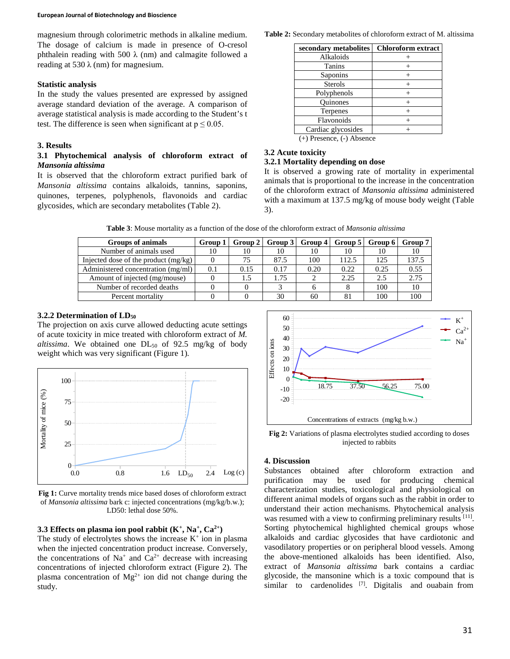magnesium through colorimetric methods in alkaline medium. The dosage of calcium is made in presence of O-cresol phthalein reading with 500  $\lambda$  (nm) and calmagite followed a reading at 530  $\lambda$  (nm) for magnesium.

#### **Statistic analysis**

In the study the values presented are expressed by assigned average standard deviation of the average. A comparison of average statistical analysis is made according to the Student's t test. The difference is seen when significant at  $p \le 0.05$ .

### **3. Results**

### **3.1 Phytochemical analysis of chloroform extract of**  *Mansonia altissima*

It is observed that the chloroform extract purified bark of *Mansonia altissima* contains alkaloids, tannins, saponins, quinones, terpenes, polyphenols, flavonoids and cardiac glycosides, which are secondary metabolites (Table 2).

**Table 2:** Secondary metabolites of chloroform extract of M. altissima

| secondary metabolites                                                                                                                                                                                                                                                                                              | <b>Chloroform extract</b> |  |  |  |  |
|--------------------------------------------------------------------------------------------------------------------------------------------------------------------------------------------------------------------------------------------------------------------------------------------------------------------|---------------------------|--|--|--|--|
| Alkaloids                                                                                                                                                                                                                                                                                                          |                           |  |  |  |  |
| Tanins                                                                                                                                                                                                                                                                                                             |                           |  |  |  |  |
| Saponins                                                                                                                                                                                                                                                                                                           |                           |  |  |  |  |
| <b>Sterols</b>                                                                                                                                                                                                                                                                                                     |                           |  |  |  |  |
| Polyphenols                                                                                                                                                                                                                                                                                                        |                           |  |  |  |  |
| Quinones                                                                                                                                                                                                                                                                                                           |                           |  |  |  |  |
| Terpenes                                                                                                                                                                                                                                                                                                           |                           |  |  |  |  |
| Flavonoids                                                                                                                                                                                                                                                                                                         |                           |  |  |  |  |
| Cardiac glycosides                                                                                                                                                                                                                                                                                                 |                           |  |  |  |  |
| $\sqrt{2}$ $\sqrt{2}$ $\sqrt{2}$ $\sqrt{2}$ $\sqrt{2}$ $\sqrt{2}$ $\sqrt{2}$ $\sqrt{2}$ $\sqrt{2}$ $\sqrt{2}$ $\sqrt{2}$ $\sqrt{2}$ $\sqrt{2}$ $\sqrt{2}$ $\sqrt{2}$ $\sqrt{2}$ $\sqrt{2}$ $\sqrt{2}$ $\sqrt{2}$ $\sqrt{2}$ $\sqrt{2}$ $\sqrt{2}$ $\sqrt{2}$ $\sqrt{2}$ $\sqrt{2}$ $\sqrt{2}$ $\sqrt{2}$ $\sqrt{2$ |                           |  |  |  |  |

(+) Presence, (-) Absence

#### **3.2 Acute toxicity**

#### **3.2.1 Mortality depending on dose**

It is observed a growing rate of mortality in experimental animals that is proportional to the increase in the concentration of the chloroform extract of *Mansonia altissima* administered with a maximum at 137.5 mg/kg of mouse body weight (Table 3).

**Table 3**: Mouse mortality as a function of the dose of the chloroform extract of *Mansonia altissima*

| Groups of animals                      | Group 1 |      | Group $2 \mid$ Group $3 \mid$ | Group 4 | Group 5 | Group 6 | Group 7 |
|----------------------------------------|---------|------|-------------------------------|---------|---------|---------|---------|
| Number of animals used                 | 10      | 10   | 10                            | 10      | 10      | 10      | 10      |
| Injected dose of the product $(mg/kg)$ |         | 75   | 87.5                          | 100     | 112.5   | 125     | 137.5   |
| Administered concentration (mg/ml)     | 0.1     | 0.15 | 0.17                          | 0.20    | 0.22.   | 0.25    | 0.55    |
| Amount of injected (mg/mouse)          |         | 1.5  | 1.75                          |         | 2.25    | 2.5     | 2.75    |
| Number of recorded deaths              |         |      |                               |         |         | 100     | 10      |
| Percent mortality                      |         |      | 30                            | 60      | 81      | 100     | 100     |

#### **3.2.2 Determination of LD50**

The projection on axis curve allowed deducting acute settings of acute toxicity in mice treated with chloroform extract of *M. altissima*. We obtained one  $DL_{50}$  of 92.5 mg/kg of body weight which was very significant (Figure 1)*.*



**Fig 1:** Curve mortality trends mice based doses of chloroform extract of *Mansonia altissima* bark c: injected concentrations (mg/kg/b.w.); LD50: lethal dose 50%.

#### **3.3 Effects on plasma ion pool rabbit**  $(K^+, Na^+, Ca^{2+})$

The study of electrolytes shows the increase  $K^+$  ion in plasma when the injected concentration product increase. Conversely, the concentrations of  $Na^+$  and  $Ca^{2+}$  decrease with increasing concentrations of injected chloroform extract (Figure 2). The plasma concentration of  $Mg^{2+}$  ion did not change during the study.



**Fig 2:** Variations of plasma electrolytes studied according to doses injected to rabbits

#### **4. Discussion**

Substances obtained after chloroform extraction and purification may be used for producing chemical characterization studies, toxicological and physiological on different animal models of organs such as the rabbit in order to understand their action mechanisms. Phytochemical analysis was resumed with a view to confirming preliminary results [11]. Sorting phytochemical highlighted chemical groups whose alkaloids and cardiac glycosides that have cardiotonic and vasodilatory properties or on peripheral blood vessels. Among the above-mentioned alkaloids has been identified. Also, extract of *Mansonia altissima* bark contains a cardiac glycoside, the mansonine which is a toxic compound that is similar to cardenolides [7]. Digitalis and ouabain from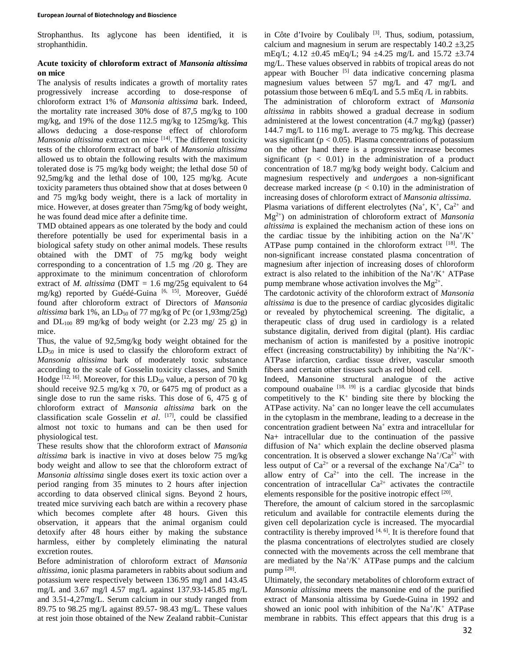Strophanthus. Its aglycone has been identified, it is strophanthidin.

## **Acute toxicity of chloroform extract of** *Mansonia altissima* **on mice**

The analysis of results indicates a growth of mortality rates progressively increase according to dose-response of chloroform extract 1% of *Mansonia altissima* bark. Indeed, the mortality rate increased 30% dose of 87,5 mg/kg to 100 mg/kg, and 19% of the dose 112.5 mg/kg to 125mg/kg. This allows deducing a dose-response effect of chloroform *Mansonia altissima* extract on mice <sup>[14]</sup>. The different toxicity tests of the chloroform extract of bark of *Mansonia altissima* allowed us to obtain the following results with the maximum tolerated dose is 75 mg/kg body weight; the lethal dose 50 of 92,5mg/kg and the lethal dose of 100, 125 mg/kg. Acute toxicity parameters thus obtained show that at doses between 0 and 75 mg/kg body weight, there is a lack of mortality in mice. However, at doses greater than 75mg/kg of body weight, he was found dead mice after a definite time.

TMD obtained appears as one tolerated by the body and could therefore potentially be used for experimental basis in a biological safety study on other animal models. These results obtained with the DMT of 75 mg/kg body weight corresponding to a concentration of 1.5 mg /20 g. They are approximate to the minimum concentration of chloroform extract of *M. altissima* (DMT = 1.6 mg/25g equivalent to 64 mg/kg) reported by Guédé-Guina [6, 15]. Moreover, Guédé found after chloroform extract of Directors of *Mansonia altissima* bark 1%, an  $LD_{50}$  of 77 mg/kg of Pc (or  $1,93$ mg/25g) and  $DL_{100}$  89 mg/kg of body weight (or 2.23 mg/ 25 g) in mice.

Thus, the value of 92,5mg/kg body weight obtained for the  $LD_{50}$  in mice is used to classify the chloroform extract of *Mansonia altissima* bark of moderately toxic substance according to the scale of Gosselin toxicity classes, and Smith Hodge  $[12, 16]$ . Moreover, for this LD<sub>50</sub> value, a person of 70 kg should receive 92.5 mg/kg x 70, or 6475 mg of product as a single dose to run the same risks. This dose of 6, 475 g of chloroform extract of *Mansonia altissima* bark on the classification scale Gosselin et al. [17], could be classified almost not toxic to humans and can be then used for physiological test.

These results show that the chloroform extract of *Mansonia altissima* bark is inactive in vivo at doses below 75 mg/kg body weight and allow to see that the chloroform extract of *Mansonia altissima* single doses exert its toxic action over a period ranging from 35 minutes to 2 hours after injection according to data observed clinical signs. Beyond 2 hours, treated mice surviving each batch are within a recovery phase which becomes complete after 48 hours. Given this observation, it appears that the animal organism could detoxify after 48 hours either by making the substance harmless, either by completely eliminating the natural excretion routes.

Before administration of chloroform extract of *Mansonia altissima*, ionic plasma parameters in rabbits about sodium and potassium were respectively between 136.95 mg/l and 143.45 mg/L and 3.67 mg/l 4.57 mg/L against 137.93-145.85 mg/L and 3.51-4,27mg/L. Serum calcium in our study ranged from 89.75 to 98.25 mg/L against 89.57- 98.43 mg/L. These values at rest join those obtained of the New Zealand rabbit–Cunistar in Côte d'Ivoire by Coulibaly [3]. Thus, sodium, potassium, calcium and magnesium in serum are respectably  $140.2 \pm 3.25$ mEq/L; 4.12 ±0.45 mEq/L; 94 ±4.25 mg/L and 15.72 ±3.74 mg/L. These values observed in rabbits of tropical areas do not appear with Boucher [5] data indicative concerning plasma magnesium values between 57 mg/L and 47 mg/L and potassium those between 6 mEq/L and 5.5 mEq /L in rabbits.

The administration of chloroform extract of *Mansonia altissima* in rabbits showed a gradual decrease in sodium administered at the lowest concentration (4.7 mg/kg) (passer) 144.7 mg/L to 116 mg/L average to 75 mg/kg. This decrease was significant ( $p < 0.05$ ). Plasma concentrations of potassium on the other hand there is a progressive increase becomes significant ( $p < 0.01$ ) in the administration of a product concentration of 18.7 mg/kg body weight body. Calcium and magnesium respectively and *undergoes* a non-significant decrease marked increase ( $p < 0.10$ ) in the administration of increasing doses of chloroform extract of *Mansonia altissima*.

Plasma variations of different electrolytes (Na<sup>+</sup>, K<sup>+</sup>, Ca<sup>2+</sup> and Mg2+) on administration of chloroform extract of *Mansonia altissima* is explained the mechanism action of these ions on the cardiac tissue by the inhibiting action on the  $Na^+/K^+$ ATPase pump contained in the chloroform extract [18]. The non-significant increase constated plasma concentration of magnesium after injection of increasing doses of chloroform extract is also related to the inhibition of the  $Na^+/K^+$  ATPase pump membrane whose activation involves the  $Mg^{2+}$ .

The cardotonic activity of the chloroform extract of *Mansonia altissima* is due to the presence of cardiac glycosides digitalic or revealed by phytochemical screening. The digitalic, a therapeutic class of drug used in cardiology is a related substance digitalin, derived from digital (plant). His cardiac mechanism of action is manifested by a positive inotropic effect (increasing constructability) by inhibiting the  $Na^+/K^+$ -ATPase infarction, cardiac tissue driver, vascular smooth fibers and certain other tissues such as red blood cell.

Indeed, Mansonine structural analogue of the active compound ouabaïne  $[18, 19]$  is a cardiac glycoside that binds competitively to the  $K^+$  binding site there by blocking the ATPase activity.  $Na<sup>+</sup>$  can no longer leave the cell accumulates in the cytoplasm in the membrane, leading to a decrease in the concentration gradient between Na<sup>+</sup> extra and intracellular for Na+ intracellular due to the continuation of the passive diffusion of Na<sup>+</sup> which explain the decline observed plasma concentration. It is observed a slower exchange  $Na^{\dagger}/Ca^{2+}$  with less output of  $Ca^{2+}$  or a reversal of the exchange  $Na^{+}/Ca^{2+}$  to allow entry of  $Ca^{2+}$  into the cell. The increase in the concentration of intracellular  $Ca^{2+}$  activates the contractile elements responsible for the positive inotropic effect [20].

Therefore, the amount of calcium stored in the sarcoplasmic reticulum and available for contractile elements during the given cell depolarization cycle is increased. The myocardial contractility is thereby improved  $[4, 6]$ . It is therefore found that the plasma concentrations of electrolytes studied are closely connected with the movements across the cell membrane that are mediated by the  $Na^{+}/K^{+}$  ATPase pumps and the calcium pump  $[20]$ .

Ultimately, the secondary metabolites of chloroform extract of *Mansonia altissima* meets the mansonine end of the purified extract of Mansonia altissima by Guede-Guina in 1992 and showed an ionic pool with inhibition of the  $Na^+/K^+$  ATPase membrane in rabbits. This effect appears that this drug is a